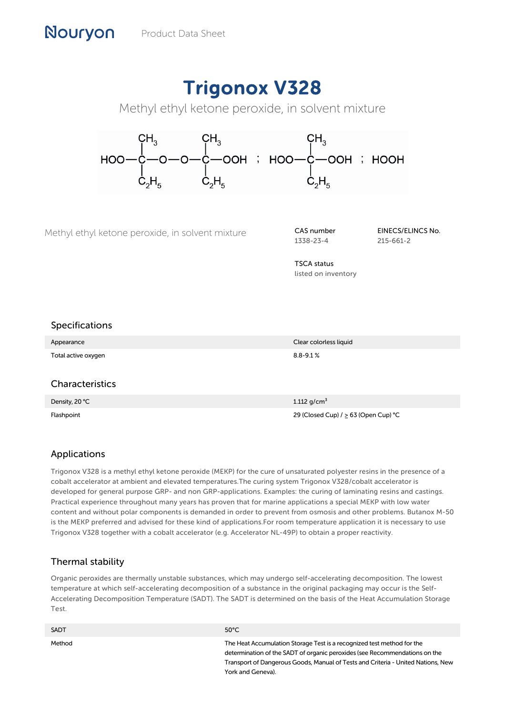# Trigonox V328

Methyl ethyl ketone peroxide, in solvent mixture



Methyl ethyl ketone peroxide, in solvent mixture **CAS number** 

1338-23-4

EINECS/ELINCS No. 215-661-2

TSCA status listed on inventory

## Specifications

Nouryon

| Appearance          | Clear colorless liquid |
|---------------------|------------------------|
| Total active oxygen | $8.8 - 9.1 %$          |
|                     |                        |

#### Characteristics

| Density, 20 °C | 1.112 $q/cm^3$                              |
|----------------|---------------------------------------------|
| Flashpoint     | 29 (Closed Cup) $/$ $\geq$ 63 (Open Cup) °C |

# Applications

Trigonox V328 is a methyl ethyl ketone peroxide (MEKP) for the cure of unsaturated polyester resins in the presence of a cobalt accelerator at ambient and elevated temperatures.The curing system Trigonox V328/cobalt accelerator is developed for general purpose GRP- and non GRP-applications. Examples: the curing of laminating resins and castings. Practical experience throughout many years has proven that for marine applications a special MEKP with low water content and without polar components is demanded in order to prevent from osmosis and other problems. Butanox M-50 is the MEKP preferred and advised for these kind of applications.For room temperature application it is necessary to use Trigonox V328 together with a cobalt accelerator (e.g. Accelerator NL-49P) to obtain a proper reactivity.

# Thermal stability

Organic peroxides are thermally unstable substances, which may undergo self-accelerating decomposition. The lowest temperature at which self-accelerating decomposition of a substance in the original packaging may occur is the Self-Accelerating Decomposition Temperature (SADT). The SADT is determined on the basis of the Heat Accumulation Storage Test.

| <b>SADT</b> | $50^{\circ}$ C                                                                                                                                                                                                                                                |
|-------------|---------------------------------------------------------------------------------------------------------------------------------------------------------------------------------------------------------------------------------------------------------------|
| Method      | The Heat Accumulation Storage Test is a recognized test method for the<br>determination of the SADT of organic peroxides (see Recommendations on the<br>Transport of Dangerous Goods, Manual of Tests and Criteria - United Nations, New<br>York and Geneva). |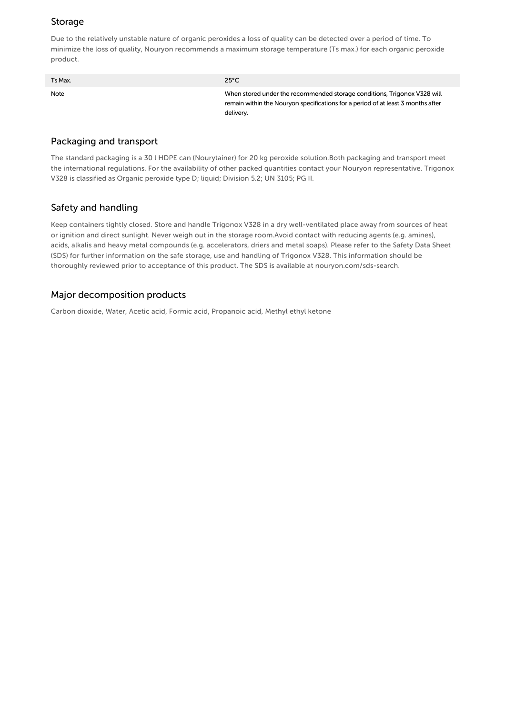## Storage

Due to the relatively unstable nature of organic peroxides a loss of quality can be detected over a period of time. To minimize the loss of quality, Nouryon recommends a maximum storage temperature (Ts max.) for each organic peroxide product.

| Ts Max. | $25^{\circ}$ C                                                                                                                                                            |
|---------|---------------------------------------------------------------------------------------------------------------------------------------------------------------------------|
| Note    | When stored under the recommended storage conditions, Trigonox V328 will<br>remain within the Nouryon specifications for a period of at least 3 months after<br>delivery. |

#### Packaging and transport

The standard packaging is a 30 l HDPE can (Nourytainer) for 20 kg peroxide solution.Both packaging and transport meet the international regulations. For the availability of other packed quantities contact your Nouryon representative. Trigonox V328 is classified as Organic peroxide type D; liquid; Division 5.2; UN 3105; PG II.

## Safety and handling

Keep containers tightly closed. Store and handle Trigonox V328 in a dry well-ventilated place away from sources of heat or ignition and direct sunlight. Never weigh out in the storage room.Avoid contact with reducing agents (e.g. amines), acids, alkalis and heavy metal compounds (e.g. accelerators, driers and metal soaps). Please refer to the Safety Data Sheet (SDS) for further information on the safe storage, use and handling of Trigonox V328. This information should be thoroughly reviewed prior to acceptance of this product. The SDS is available at nouryon.com/sds-search.

#### Major decomposition products

Carbon dioxide, Water, Acetic acid, Formic acid, Propanoic acid, Methyl ethyl ketone